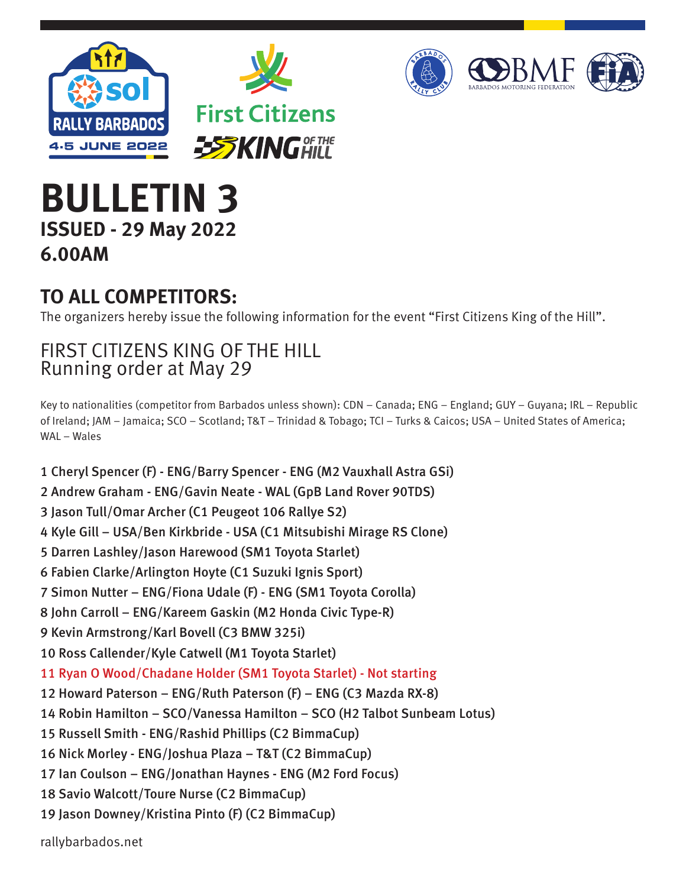



## **BULLETIN 3 ISSUED - 29 May 2022 6.00AM**

## **TO ALL COMPETITORS:**

The organizers hereby issue the following information for the event "First Citizens King of the Hill".

## FIRST CITIZENS KING OF THE HILL Running order at May 29

Key to nationalities (competitor from Barbados unless shown): CDN – Canada; ENG – England; GUY – Guyana; IRL – Republic of Ireland; JAM – Jamaica; SCO – Scotland; T&T – Trinidad & Tobago; TCI – Turks & Caicos; USA – United States of America; WAL – Wales

1 Cheryl Spencer (F) - ENG/Barry Spencer - ENG (M2 Vauxhall Astra GSi) 2 Andrew Graham - ENG/Gavin Neate - WAL (GpB Land Rover 90TDS) 3 Jason Tull/Omar Archer (C1 Peugeot 106 Rallye S2) 4 Kyle Gill – USA/Ben Kirkbride - USA (C1 Mitsubishi Mirage RS Clone) 5 Darren Lashley/Jason Harewood (SM1 Toyota Starlet) 6 Fabien Clarke/Arlington Hoyte (C1 Suzuki Ignis Sport) 7 Simon Nutter – ENG/Fiona Udale (F) - ENG (SM1 Toyota Corolla) 8 John Carroll – ENG/Kareem Gaskin (M2 Honda Civic Type-R) 9 Kevin Armstrong/Karl Bovell (C3 BMW 325i) 10 Ross Callender/Kyle Catwell (M1 Toyota Starlet) 11 Ryan O Wood/Chadane Holder (SM1 Toyota Starlet) - Not starting 12 Howard Paterson – ENG/Ruth Paterson (F) – ENG (C3 Mazda RX-8) 14 Robin Hamilton – SCO/Vanessa Hamilton – SCO (H2 Talbot Sunbeam Lotus) 15 Russell Smith - ENG/Rashid Phillips (C2 BimmaCup) 16 Nick Morley - ENG/Joshua Plaza – T&T (C2 BimmaCup) 17 Ian Coulson – ENG/Jonathan Haynes - ENG (M2 Ford Focus) 18 Savio Walcott/Toure Nurse (C2 BimmaCup) 19 Jason Downey/Kristina Pinto (F) (C2 BimmaCup)

rallybarbados.net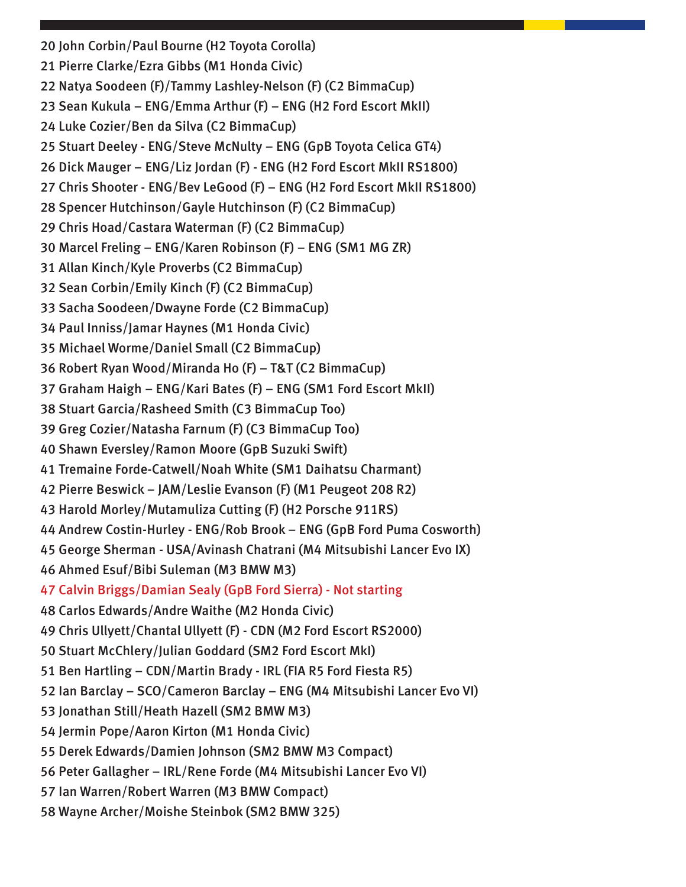20 John Corbin/Paul Bourne (H2 Toyota Corolla) 21 Pierre Clarke/Ezra Gibbs (M1 Honda Civic) 22 Natya Soodeen (F)/Tammy Lashley-Nelson (F) (C2 BimmaCup) 23 Sean Kukula – ENG/Emma Arthur (F) – ENG (H2 Ford Escort MkII) 24 Luke Cozier/Ben da Silva (C2 BimmaCup) 25 Stuart Deeley - ENG/Steve McNulty – ENG (GpB Toyota Celica GT4) 26 Dick Mauger – ENG/Liz Jordan (F) - ENG (H2 Ford Escort MkII RS1800) 27 Chris Shooter - ENG/Bev LeGood (F) – ENG (H2 Ford Escort MkII RS1800) 28 Spencer Hutchinson/Gayle Hutchinson (F) (C2 BimmaCup) 29 Chris Hoad/Castara Waterman (F) (C2 BimmaCup) 30 Marcel Freling – ENG/Karen Robinson (F) – ENG (SM1 MG ZR) 31 Allan Kinch/Kyle Proverbs (C2 BimmaCup) 32 Sean Corbin/Emily Kinch (F) (C2 BimmaCup) 33 Sacha Soodeen/Dwayne Forde (C2 BimmaCup) 34 Paul Inniss/Jamar Haynes (M1 Honda Civic) 35 Michael Worme/Daniel Small (C2 BimmaCup) 36 Robert Ryan Wood/Miranda Ho (F) – T&T (C2 BimmaCup) 37 Graham Haigh – ENG/Kari Bates (F) – ENG (SM1 Ford Escort MkII) 38 Stuart Garcia/Rasheed Smith (C3 BimmaCup Too) 39 Greg Cozier/Natasha Farnum (F) (C3 BimmaCup Too) 40 Shawn Eversley/Ramon Moore (GpB Suzuki Swift) 41 Tremaine Forde-Catwell/Noah White (SM1 Daihatsu Charmant) 42 Pierre Beswick – JAM/Leslie Evanson (F) (M1 Peugeot 208 R2) 43 Harold Morley/Mutamuliza Cutting (F) (H2 Porsche 911RS) 44 Andrew Costin-Hurley - ENG/Rob Brook – ENG (GpB Ford Puma Cosworth) 45 George Sherman - USA/Avinash Chatrani (M4 Mitsubishi Lancer Evo IX) 46 Ahmed Esuf/Bibi Suleman (M3 BMW M3) 47 Calvin Briggs/Damian Sealy (GpB Ford Sierra) - Not starting 48 Carlos Edwards/Andre Waithe (M2 Honda Civic) 49 Chris Ullyett/Chantal Ullyett (F) - CDN (M2 Ford Escort RS2000) 50 Stuart McChlery/Julian Goddard (SM2 Ford Escort MkI) 51 Ben Hartling – CDN/Martin Brady - IRL (FIA R5 Ford Fiesta R5) 52 Ian Barclay – SCO/Cameron Barclay – ENG (M4 Mitsubishi Lancer Evo VI) 53 Jonathan Still/Heath Hazell (SM2 BMW M3) 54 Jermin Pope/Aaron Kirton (M1 Honda Civic) 55 Derek Edwards/Damien Johnson (SM2 BMW M3 Compact) 56 Peter Gallagher – IRL/Rene Forde (M4 Mitsubishi Lancer Evo VI) 57 Ian Warren/Robert Warren (M3 BMW Compact) 58 Wayne Archer/Moishe Steinbok (SM2 BMW 325)